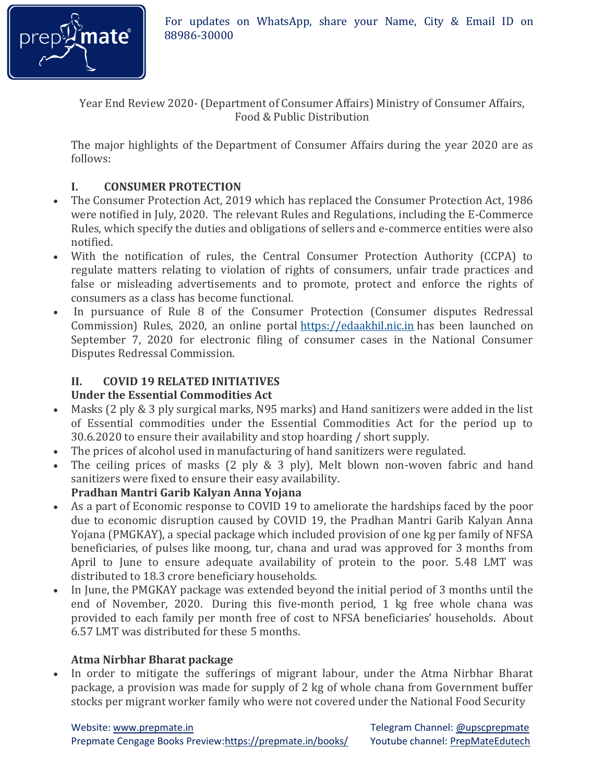

For updates on WhatsApp, share your Name, City & Email ID on

Year End Review 2020- (Department of Consumer Affairs) Ministry of Consumer Affairs, Food & Public Distribution

The major highlights of the Department of Consumer Affairs during the year 2020 are as follows:

## **I. CONSUMER PROTECTION**

- The Consumer Protection Act, 2019 which has replaced the Consumer Protection Act, 1986 were notified in July, 2020. The relevant Rules and Regulations, including the E-Commerce Rules, which specify the duties and obligations of sellers and e-commerce entities were also notified.
- With the notification of rules, the Central Consumer Protection Authority (CCPA) to regulate matters relating to violation of rights of consumers, unfair trade practices and false or misleading advertisements and to promote, protect and enforce the rights of consumers as a class has become functional.
- In pursuance of Rule 8 of the Consumer Protection (Consumer disputes Redressal Commission) Rules, 2020, an online portal [https://edaakhil.nic.in](https://edaakhil.nic.in/) has been launched on September 7, 2020 for electronic filing of consumer cases in the National Consumer Disputes Redressal Commission.

### **II. COVID 19 RELATED INITIATIVES Under the Essential Commodities Act**

- Masks (2 ply & 3 ply surgical marks, N95 marks) and Hand sanitizers were added in the list of Essential commodities under the Essential Commodities Act for the period up to 30.6.2020 to ensure their availability and stop hoarding / short supply.
- The prices of alcohol used in manufacturing of hand sanitizers were regulated.
- The ceiling prices of masks (2 ply & 3 ply), Melt blown non-woven fabric and hand sanitizers were fixed to ensure their easy availability. **Pradhan Mantri Garib Kalyan Anna Yojana**
- As a part of Economic response to COVID 19 to ameliorate the hardships faced by the poor due to economic disruption caused by COVID 19, the Pradhan Mantri Garib Kalyan Anna Yojana (PMGKAY), a special package which included provision of one kg per family of NFSA beneficiaries, of pulses like moong, tur, chana and urad was approved for 3 months from April to June to ensure adequate availability of protein to the poor. 5.48 LMT was distributed to 18.3 crore beneficiary households.
- In June, the PMGKAY package was extended beyond the initial period of 3 months until the end of November, 2020. During this five-month period, 1 kg free whole chana was provided to each family per month free of cost to NFSA beneficiaries' households. About 6.57 LMT was distributed for these 5 months.

### **Atma Nirbhar Bharat package**

• In order to mitigate the sufferings of migrant labour, under the Atma Nirbhar Bharat package, a provision was made for supply of 2 kg of whole chana from Government buffer stocks per migrant worker family who were not covered under the National Food Security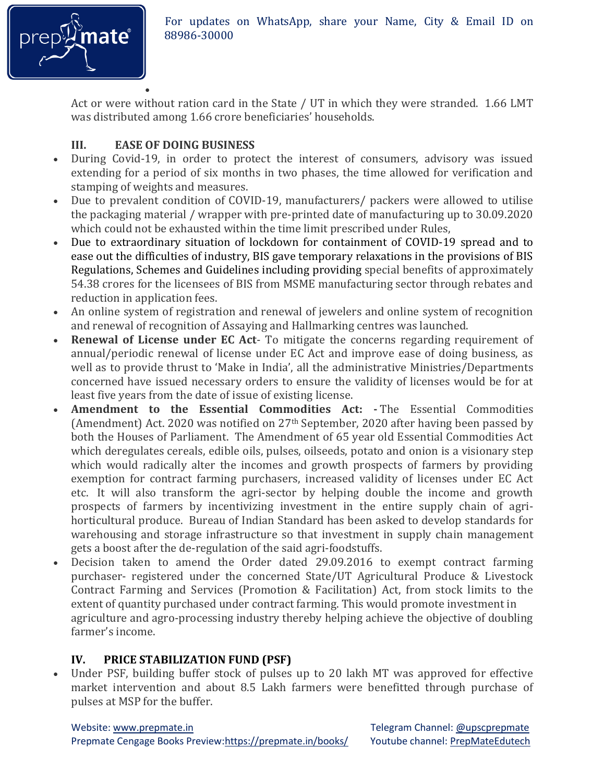

Act or were without ration card in the State / UT in which they were stranded. 1.66 LMT was distributed among 1.66 crore beneficiaries' households.

## **III. EASE OF DOING BUSINESS**

- During Covid-19, in order to protect the interest of consumers, advisory was issued extending for a period of six months in two phases, the time allowed for verification and stamping of weights and measures.
- Due to prevalent condition of COVID-19, manufacturers/ packers were allowed to utilise the packaging material / wrapper with pre-printed date of manufacturing up to 30.09.2020 which could not be exhausted within the time limit prescribed under Rules,
- Due to extraordinary situation of lockdown for containment of COVID-19 spread and to ease out the difficulties of industry, BIS gave temporary relaxations in the provisions of BIS Regulations, Schemes and Guidelines including providing special benefits of approximately 54.38 crores for the licensees of BIS from MSME manufacturing sector through rebates and reduction in application fees.
- An online system of registration and renewal of jewelers and online system of recognition and renewal of recognition of Assaying and Hallmarking centres was launched.
- **Renewal of License under EC Act** To mitigate the concerns regarding requirement of annual/periodic renewal of license under EC Act and improve ease of doing business, as well as to provide thrust to 'Make in India', all the administrative Ministries/Departments concerned have issued necessary orders to ensure the validity of licenses would be for at least five years from the date of issue of existing license.
- **Amendment to the Essential Commodities Act: -** The Essential Commodities (Amendment) Act. 2020 was notified on 27<sup>th</sup> September, 2020 after having been passed by both the Houses of Parliament. The Amendment of 65 year old Essential Commodities Act which deregulates cereals, edible oils, pulses, oilseeds, potato and onion is a visionary step which would radically alter the incomes and growth prospects of farmers by providing exemption for contract farming purchasers, increased validity of licenses under EC Act etc. It will also transform the agri-sector by helping double the income and growth prospects of farmers by incentivizing investment in the entire supply chain of agrihorticultural produce. Bureau of Indian Standard has been asked to develop standards for warehousing and storage infrastructure so that investment in supply chain management gets a boost after the de-regulation of the said agri-foodstuffs.
- Decision taken to amend the Order dated 29.09.2016 to exempt contract farming purchaser- registered under the concerned State/UT Agricultural Produce & Livestock Contract Farming and Services (Promotion & Facilitation) Act, from stock limits to the extent of quantity purchased under contract farming. This would promote investment in agriculture and agro-processing industry thereby helping achieve the objective of doubling farmer's income.

# **IV. PRICE STABILIZATION FUND (PSF)**

 Under PSF, building buffer stock of pulses up to 20 lakh MT was approved for effective market intervention and about 8.5 Lakh farmers were benefitted through purchase of pulses at MSP for the buffer.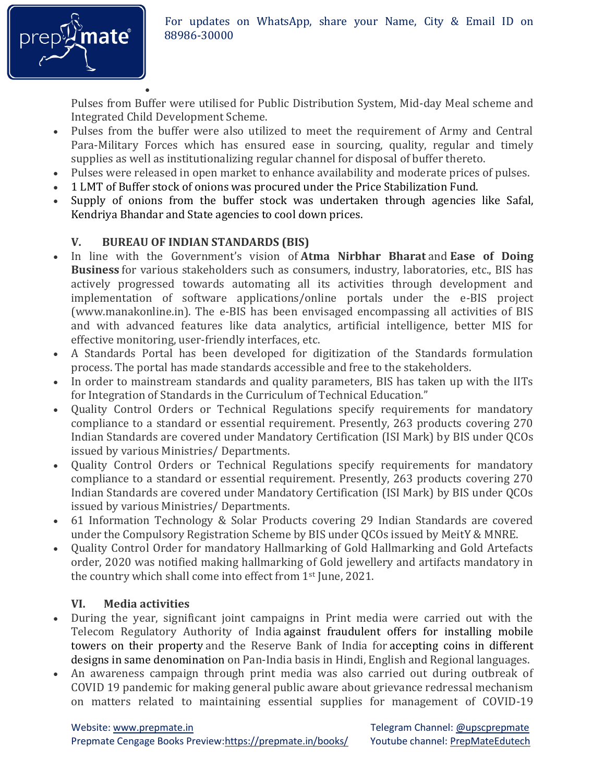

Pulses from Buffer were utilised for Public Distribution System, Mid-day Meal scheme and Integrated Child Development Scheme.

- Pulses from the buffer were also utilized to meet the requirement of Army and Central Para-Military Forces which has ensured ease in sourcing, quality, regular and timely supplies as well as institutionalizing regular channel for disposal of buffer thereto.
- Pulses were released in open market to enhance availability and moderate prices of pulses.
- 1 LMT of Buffer stock of onions was procured under the Price Stabilization Fund.
- Supply of onions from the buffer stock was undertaken through agencies like Safal, Kendriya Bhandar and State agencies to cool down prices.

## **V. BUREAU OF INDIAN STANDARDS (BIS)**

 $\bullet$ 

- In line with the Government's vision of **Atma Nirbhar Bharat** and **Ease of Doing Business** for various stakeholders such as consumers, industry, laboratories, etc., BIS has actively progressed towards automating all its activities through development and implementation of software applications/online portals under the e-BIS project (www.manakonline.in). The e-BIS has been envisaged encompassing all activities of BIS and with advanced features like data analytics, artificial intelligence, better MIS for effective monitoring, user-friendly interfaces, etc.
- A Standards Portal has been developed for digitization of the Standards formulation process. The portal has made standards accessible and free to the stakeholders.
- In order to mainstream standards and quality parameters, BIS has taken up with the IITs for Integration of Standards in the Curriculum of Technical Education."
- Quality Control Orders or Technical Regulations specify requirements for mandatory compliance to a standard or essential requirement. Presently, 263 products covering 270 Indian Standards are covered under Mandatory Certification (ISI Mark) by BIS under QCOs issued by various Ministries/ Departments.
- Ouality Control Orders or Technical Regulations specify requirements for mandatory compliance to a standard or essential requirement. Presently, 263 products covering 270 Indian Standards are covered under Mandatory Certification (ISI Mark) by BIS under QCOs issued by various Ministries/ Departments.
- 61 Information Technology & Solar Products covering 29 Indian Standards are covered under the Compulsory Registration Scheme by BIS under QCOs issued by MeitY & MNRE.
- Ouality Control Order for mandatory Hallmarking of Gold Hallmarking and Gold Artefacts order, 2020 was notified making hallmarking of Gold jewellery and artifacts mandatory in the country which shall come into effect from 1st June, 2021.

## **VI. Media activities**

- During the year, significant joint campaigns in Print media were carried out with the Telecom Regulatory Authority of India against fraudulent offers for installing mobile towers on their property and the Reserve Bank of India for accepting coins in different designs in same denomination on Pan-India basis in Hindi, English and Regional languages.
- An awareness campaign through print media was also carried out during outbreak of COVID 19 pandemic for making general public aware about grievance redressal mechanism on matters related to maintaining essential supplies for management of COVID-19